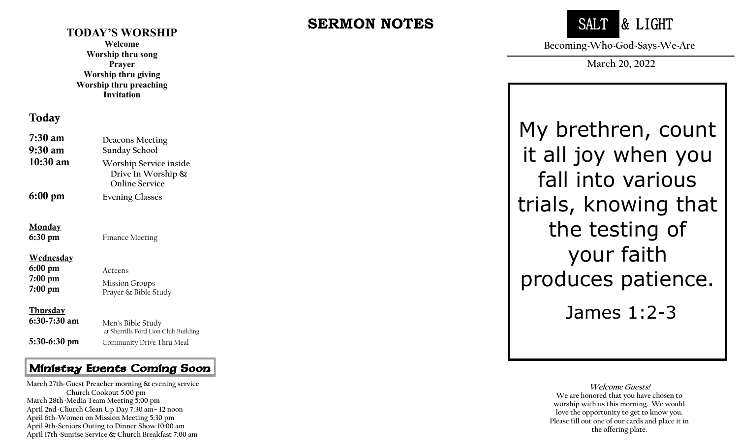#### **TODAY'S WORSHIP**

**Welcome Worship thru song Prayer Worship thru giving Worship thru preaching Invitation**

#### Today

| $7:30 \text{ am}$<br>9:30 am          | Deacons Meeting<br>Sunday School                                      |
|---------------------------------------|-----------------------------------------------------------------------|
| $10:30$ am                            | Worship Service inside<br>Drive In Worship &<br><b>Online Service</b> |
| $6:00 \text{ pm}$                     | <b>Evening Classes</b>                                                |
| <u>Monday</u><br>$6:30 \text{ pm}$    | <b>Finance Meeting</b>                                                |
| <u>Wednesday</u><br>$6:00 \text{ pm}$ | Acteens                                                               |
| $7:00~\text{pm}$<br>$7:00~\text{pm}$  | <b>Mission Groups</b><br>Prayer & Bible Study                         |
| <u>Thursday</u><br>$6:30-7:30$ am     | Men's Bible Study<br>at Sherrills Ford Lion Club Building             |
| 5:30-6:30 pm                          | Community Drive Thru Meal                                             |

#### Ministry Events Coming Soon

 **April 6th -Women on Mission Meeting 5:30 pm March 27th -Guest Preacher morning & evening service Church Cookout 5:00 pm March 28th -Media Team Meeting 5:00 pm April 2nd -Church Clean Up Day 7:30 am – 12 noon April 9th -Seniors Outing to Dinner Show 10:00 am April 17th -Sunrise Service & Church Breakfast 7:00 am**

# **SERMON NOTES**



**Becoming~Who~God~Says~We~Are**

**March 20, 2022**

My brethren, count it all joy when you fall into various trials, knowing that the testing of your faith produces patience.

James 1:2 - 3

**Welcome Guests! We are honored that you have chosen to worship with us this morning. We would love the opportunity to get to know you. Please fill out one of our cards and place it in the offering plate.**